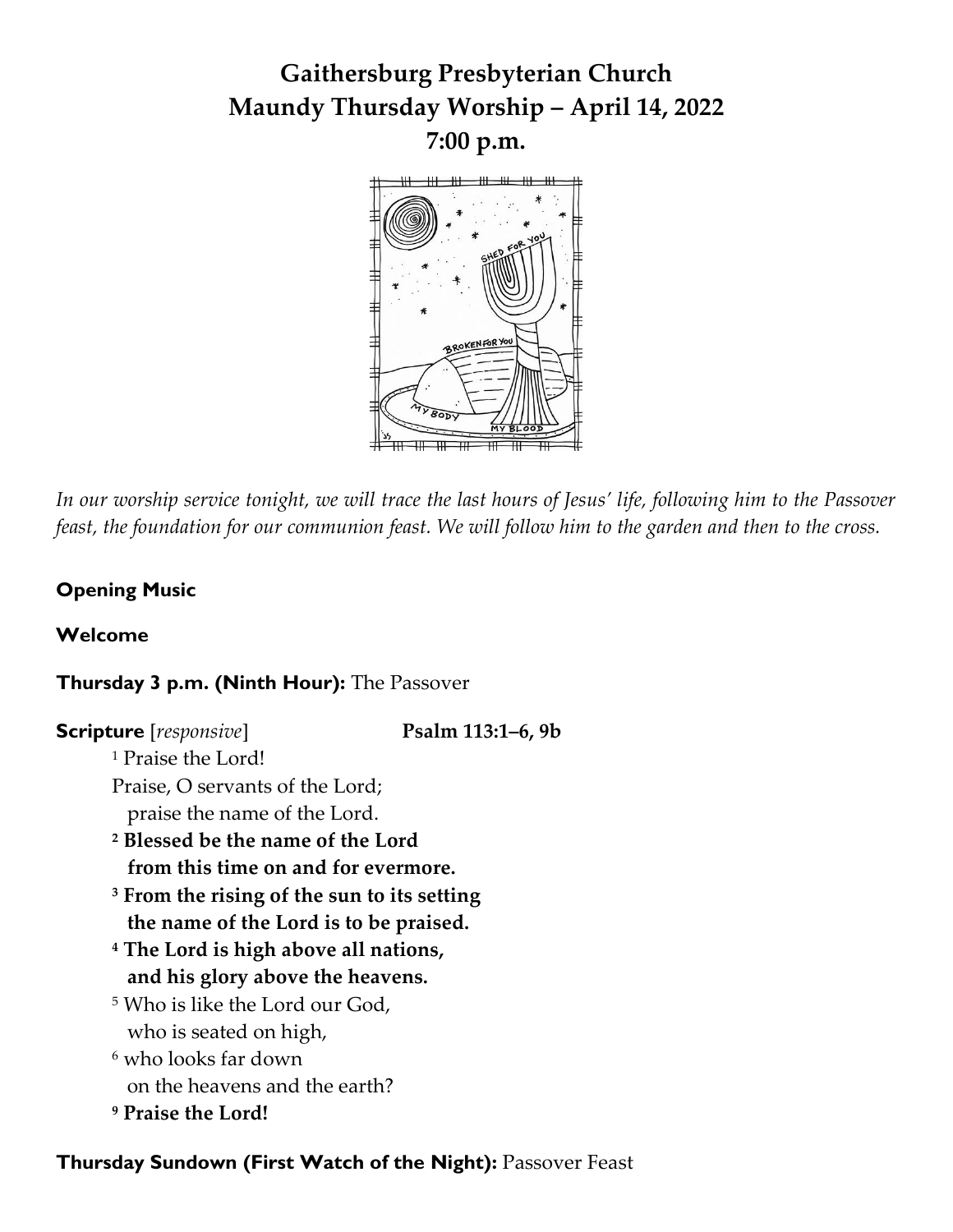# **Gaithersburg Presbyterian Church Maundy Thursday Worship – April 14, 2022 7:00 p.m.**



*In our worship service tonight, we will trace the last hours of Jesus' life, following him to the Passover feast, the foundation for our communion feast. We will follow him to the garden and then to the cross.*

## **Opening Music**

### **Welcome**

## **Thursday 3 p.m. (Ninth Hour):** The Passover

| <b>Scripture</b> [responsive]                          | Psalm 113:1–6, 9b |  |
|--------------------------------------------------------|-------------------|--|
| <sup>1</sup> Praise the Lord!                          |                   |  |
| Praise, O servants of the Lord;                        |                   |  |
| praise the name of the Lord.                           |                   |  |
| <sup>2</sup> Blessed be the name of the Lord           |                   |  |
| from this time on and for evermore.                    |                   |  |
| <sup>3</sup> From the rising of the sun to its setting |                   |  |
| the name of the Lord is to be praised.                 |                   |  |
| <sup>4</sup> The Lord is high above all nations,       |                   |  |
| and his glory above the heavens.                       |                   |  |
| <sup>5</sup> Who is like the Lord our God,             |                   |  |
| who is seated on high,                                 |                   |  |
| <sup>6</sup> who looks far down                        |                   |  |
| on the heavens and the earth?                          |                   |  |
| <sup>9</sup> Praise the Lord!                          |                   |  |

### **Thursday Sundown (First Watch of the Night):** Passover Feast